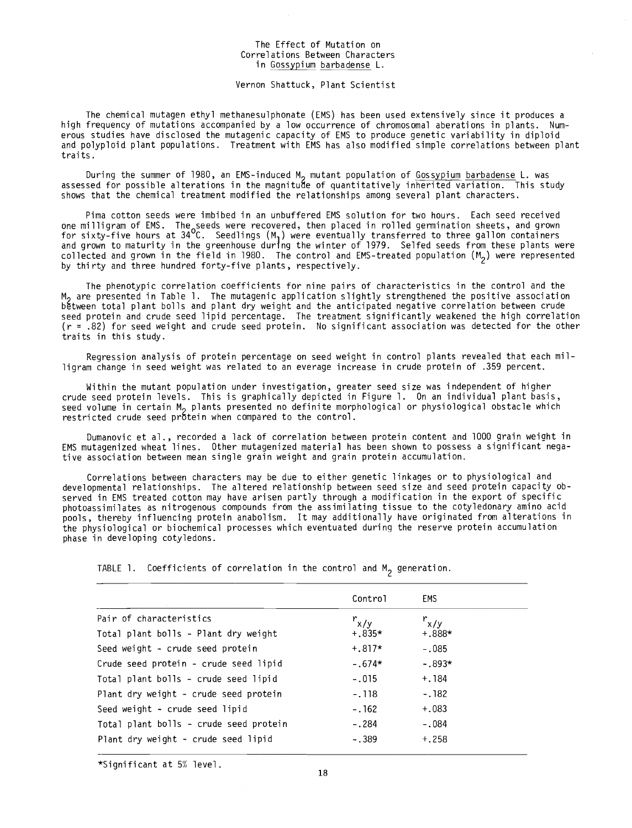## The Effect of Mutation on Correlations Between Characters in Gossypium barbadense L.

## Vernon Shattuck, Plant Scientist

The chemical mutagen ethyl methanesulphonate (EMS) has been used extensively since it produces a high frequency of mutations accompanied by a low occurrence of chromosomal aberations in plants. Numerous studies have disclosed the mutagenic capacity of EMS to produce genetic variability in diploid and polyploid plant populations. Treatment with EMS has also modified simple correlations between plant traits.

During the summer of 1980, an EMS-induced M<sub>2</sub> mutant population of Gossypium barbadense L. was assessed for possible alterations in the magnitude of quantitatively inherited variation. This study shows that the chemical treatment modified the relationships among several plant characters.

Pima cotton seeds were imbibed in an unbuffered EMS solution for two hours. Each seed received one milligram of EMS. The seeds were recovered, then placed in rolled germination sheets, and grown for sixty -five hours at 34 °C. Seedlings (M) were eventually transferred to three gallon containers and grown to maturity in the greenhouse during the winter of 1979. Selfed seeds from these plants were collected and grown in the field in 1980. The control and EMS-treated population  $(M<sub>2</sub>)$  were represented by thirty and three hundred forty-five plants, respectively.

The phenotypic correlation coefficients for nine pairs of characteristics in the control and the M<sub>o</sub> are presented in Table 1. The mutagenic application slightly strengthened the positive association between total plant bolls and plant dry weight and the anticipated negative correlation between crude seed protein and crude seed lipid percentage. The treatment significantly weakened the high correlation (r = .82) for seed weight and crude seed protein. No significant association was detected for the other traits in this study.

Regression analysis of protein percentage on seed weight in control plants revealed that each milligram change in seed weight was related to an everage increase in crude protein of .359 percent.

Within the mutant population under investigation, greater seed size was independent of higher crude seed protein levels. This is graphically depicted in Figure 1. On an individual plant basis, seed volume in certain M<sub>2</sub> plants presented no definite morphological or physiological obstacle which restricted crude seed protein when compared to the control.

Dumanovic et al., recorded a lack of correlation between protein content and 1000 grain weight in EMS mutagenized wheat lines. Other mutagenized material has been shown to possess a significant negative association between mean single grain weight and grain protein accumulation.

Correlations between characters may be due to either genetic linkages or to physiological and developmental relationships. The altered relationship between seed size and seed protein capacity observed in EMS treated cotton may have arisen partly through a modification in the export of specific photoassimilates as nitrogenous compounds from the assimilating tissue to the cotyledonary amino acid pools, thereby influencing protein anabolism. It may additionally have originated from alterations in the physiological or biochemical processes which eventuated during the reserve protein accumulation phase in developing cotyledons.

TABLE 1. Coefficients of correlation in the control and  $M_2$  generation.

|                                        | Control   | EMS.      |  |
|----------------------------------------|-----------|-----------|--|
| Pair of characteristics                | $r_{x/y}$ | $r_{x/y}$ |  |
| Total plant bolls - Plant dry weight   | $+.835*$  | $+.888*$  |  |
| Seed weight - crude seed protein       | $+.817*$  | $-.085$   |  |
| Crude seed protein - crude seed lipid  | $-.674*$  | $-.893*$  |  |
| Total plant bolls - crude seed lipid   | $-.015$   | + 184     |  |
| Plant dry weight - crude seed protein  | $-118$    | $-.182$   |  |
| Seed weight - crude seed lipid         | $-.162$   | $+.083$   |  |
| Total plant bolls - crude seed protein | $-.284$   | $-.084$   |  |
| Plant dry weight - crude seed lipid    | $-.389$   | $+.258$   |  |

\*Significant at 5% level.